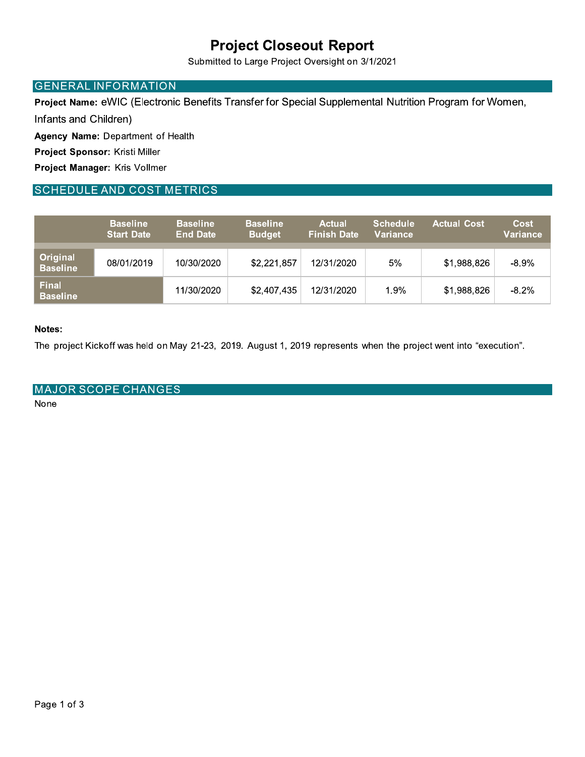## **Project Closeout Report**

Submitted to Large Project Oversight on 3/1/2021

#### **GENERAL INFORMATION**

Project Name: eWIC (Electronic Benefits Transfer for Special Supplemental Nutrition Program for Women,

Infants and Children)

Agency Name: Department of Health

Project Sponsor: Kristi Miller

Project Manager: Kris Vollmer

#### **SCHEDULE AND COST METRICS**

|                                 | <b>Baseline</b><br><b>Start Date</b> | <b>Baseline</b><br><b>End Date</b> | <b>Baseline</b><br><b>Budget</b> | <b>Actual</b><br><b>Finish Date</b> | <b>Schedule</b><br>Variance | <b>Actual Cost</b> | Cost<br>Variance |
|---------------------------------|--------------------------------------|------------------------------------|----------------------------------|-------------------------------------|-----------------------------|--------------------|------------------|
| Original<br><b>Baseline</b>     | 08/01/2019                           | 10/30/2020                         | \$2,221,857                      | 12/31/2020                          | 5%                          | \$1,988,826        | $-8.9%$          |
| <b>Final</b><br><b>Baseline</b> |                                      | 11/30/2020                         | \$2,407,435                      | 12/31/2020                          | 1.9%                        | \$1,988,826        | $-8.2%$          |

#### Notes:

The project Kickoff was held on May 21-23, 2019. August 1, 2019 represents when the project went into "execution".

#### **MAJOR SCOPE CHANGES**

None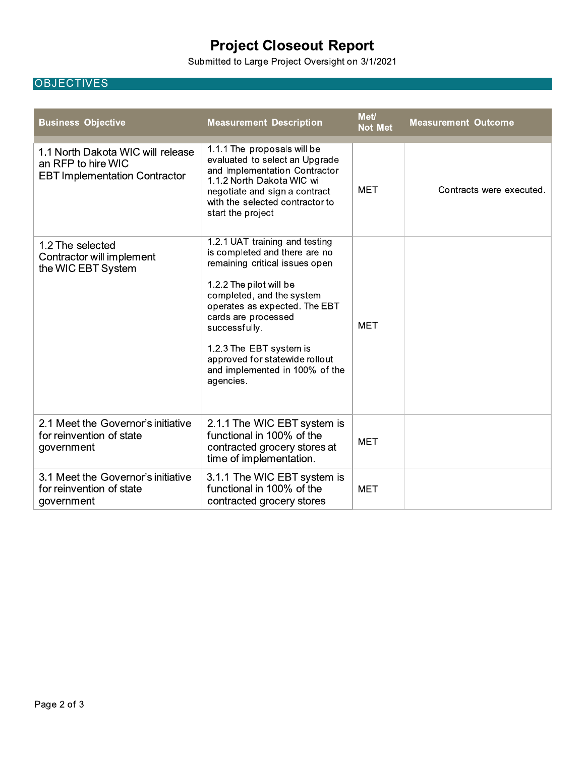# **Project Closeout Report**

Submitted to Large Project Oversight on 3/1/2021

### **OBJECTIVES**

| <b>Business Objective</b>                                                                       | <b>Measurement Description</b>                                                                                                                                                                                                                                                                                                                 | Met/<br><b>Not Met</b> | <b>Measurement Outcome</b> |
|-------------------------------------------------------------------------------------------------|------------------------------------------------------------------------------------------------------------------------------------------------------------------------------------------------------------------------------------------------------------------------------------------------------------------------------------------------|------------------------|----------------------------|
| 1.1 North Dakota WIC will release<br>an RFP to hire WIC<br><b>EBT Implementation Contractor</b> | 1.1.1 The proposals will be<br>evaluated to select an Upgrade<br>and Implementation Contractor<br>1.1.2 North Dakota WIC will<br>negotiate and sign a contract<br>with the selected contractor to<br>start the project                                                                                                                         | <b>MET</b>             | Contracts were executed.   |
| 1.2 The selected<br>Contractor will implement<br>the WIC EBT System                             | 1.2.1 UAT training and testing<br>is completed and there are no<br>remaining critical issues open<br>1.2.2 The pilot will be<br>completed, and the system<br>operates as expected. The EBT<br>cards are processed<br>successfully.<br>1.2.3 The EBT system is<br>approved for statewide rollout<br>and implemented in 100% of the<br>agencies. | <b>MET</b>             |                            |
| 2.1 Meet the Governor's initiative<br>for reinvention of state<br>government                    | 2.1.1 The WIC EBT system is<br>functional in 100% of the<br>contracted grocery stores at<br>time of implementation.                                                                                                                                                                                                                            | <b>MET</b>             |                            |
| 3.1 Meet the Governor's initiative<br>for reinvention of state<br>government                    | 3.1.1 The WIC EBT system is<br>functional in 100% of the<br>contracted grocery stores                                                                                                                                                                                                                                                          | <b>MET</b>             |                            |